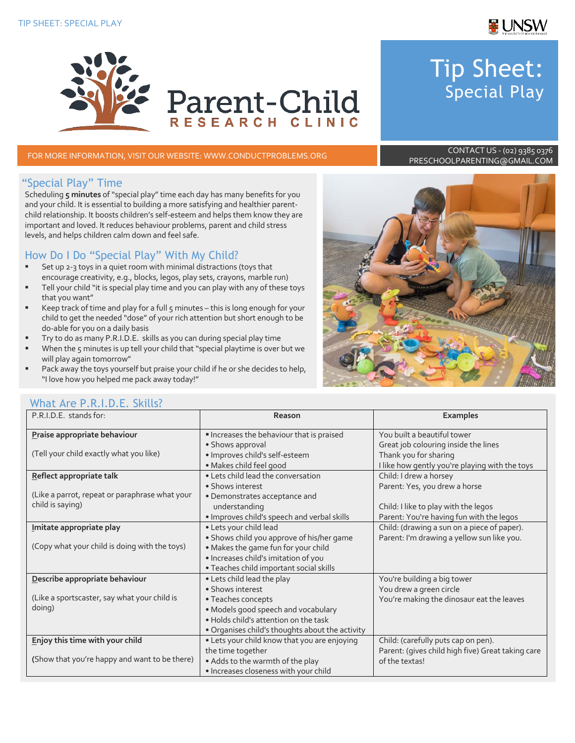

# Tip Sheet: Special Play

FOR MORE INFORMATION, VISIT OUR WEBSITE: WWW.CONDUCTPROBLEMS.ORG CONTACT US - (02) 9385 0376

**Parent-Child** 

RESEARCH CLINIC

# PRESCHOOLPARENTING@GMAIL.COM

#### "Special Play" Time

Scheduling **5 minutes** of "special play" time each day has many benefits for you and your child. It is essential to building a more satisfying and healthier parentchild relationship. It boosts children's self-esteem and helps them know they are important and loved. It reduces behaviour problems, parent and child stress levels, and helps children calm down and feel safe.

# How Do I Do "Special Play" With My Child?

- Set up 2-3 toys in a quiet room with minimal distractions (toys that encourage creativity, e.g., blocks, legos, play sets, crayons, marble run)
- Tell your child "it is special play time and you can play with any of these toys that you want"
- Keep track of time and play for a full 5 minutes this is long enough for your child to get the needed "dose" of your rich attention but short enough to be do-able for you on a daily basis
- § Try to do as many P.R.I.D.E. skills as you can during special play time
- When the 5 minutes is up tell your child that "special playtime is over but we will play again tomorrow"
- Pack away the toys yourself but praise your child if he or she decides to help, "I love how you helped me pack away today!"



### What Are P.R.I.D.F. Skills?

| P.R.I.D.E. stands for:                         | Reason                                          | <b>Examples</b>                                   |
|------------------------------------------------|-------------------------------------------------|---------------------------------------------------|
| Praise appropriate behaviour                   | Increases the behaviour that is praised         | You built a beautiful tower                       |
|                                                | • Shows approval                                | Great job colouring inside the lines              |
| (Tell your child exactly what you like)        | · Improves child's self-esteem                  | Thank you for sharing                             |
|                                                | · Makes child feel good                         | I like how gently you're playing with the toys    |
| Reflect appropriate talk                       | • Lets child lead the conversation              | Child: I drew a horsey                            |
|                                                | • Shows interest                                | Parent: Yes, you drew a horse                     |
| (Like a parrot, repeat or paraphrase what your | · Demonstrates acceptance and                   |                                                   |
| child is saying)                               | understanding                                   | Child: I like to play with the legos              |
|                                                | . Improves child's speech and verbal skills     | Parent: You're having fun with the legos          |
| Imitate appropriate play                       | • Lets your child lead                          | Child: (drawing a sun on a piece of paper).       |
|                                                | • Shows child you approve of his/her game       | Parent: I'm drawing a yellow sun like you.        |
| (Copy what your child is doing with the toys)  | . Makes the game fun for your child             |                                                   |
|                                                | · Increases child's imitation of you            |                                                   |
|                                                | · Teaches child important social skills         |                                                   |
| Describe appropriate behaviour                 | • Lets child lead the play                      | You're building a big tower                       |
|                                                | • Shows interest                                | You drew a green circle                           |
| (Like a sportscaster, say what your child is   | • Teaches concepts                              | You're making the dinosaur eat the leaves         |
| doing)                                         | · Models good speech and vocabulary             |                                                   |
|                                                | . Holds child's attention on the task           |                                                   |
|                                                | . Organises child's thoughts about the activity |                                                   |
| Enjoy this time with your child                | • Lets your child know that you are enjoying    | Child: (carefully puts cap on pen).               |
|                                                | the time together                               | Parent: (gives child high five) Great taking care |
| (Show that you're happy and want to be there)  | . Adds to the warmth of the play                | of the textas!                                    |
|                                                | . Increases closeness with your child           |                                                   |